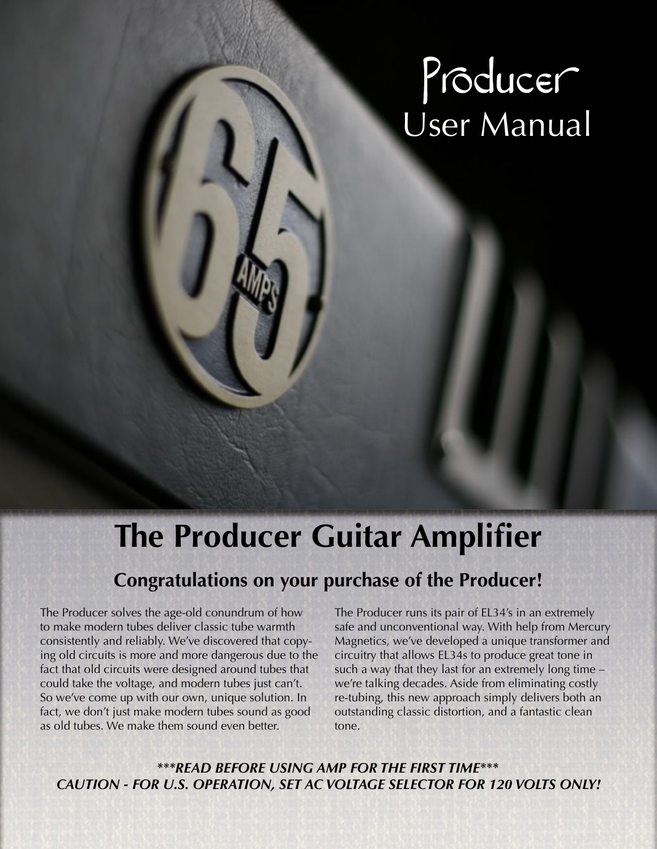# Producer<br>User Manual

## **The Producer Guitar Amplifier**

## **Congratulations on your purchase of the Producer!**

The Producer solves the age-old conundrum of how to make modern tubes deliver classic tube warmth consistently and reliably. We've discovered that copying old circuits is more and more dangerous due to the fact that old circuits were designed around tubes that could take the voltage, and modern tubes just can't. So we've come up with our own, unique solution. In fact, we don't just make modern tubes sound as good as old tubes. We make them sound even better.

The Producer runs its pair of EL34's in an extremely safe and unconventional way. With help from Mercury Magnetics, we've developed a unique transformer and circuitry that allows EL34s to produce great tone in such a way that they last for an extremely long time – we're talking decades. Aside from eliminating costly re-tubing, this new approach simply delivers both an outstanding classic distortion, and a fantastic clean tone.

*\*\*\*READ BEFORE USING AMP FOR THE FIRST TIME\*\*\* CAUTION - FOR U.S. OPERATION, SET AC VOLTAGE SELECTOR FOR 120 VOLTS ONLY!*